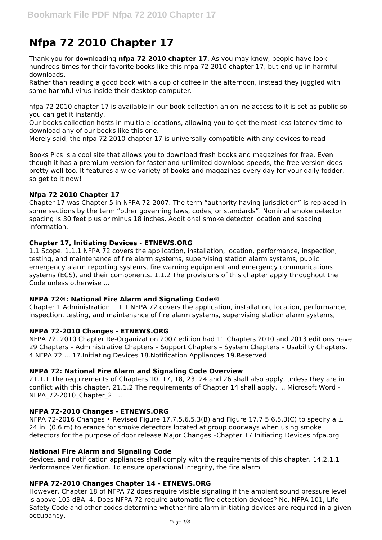# **Nfpa 72 2010 Chapter 17**

Thank you for downloading **nfpa 72 2010 chapter 17**. As you may know, people have look hundreds times for their favorite books like this nfpa 72 2010 chapter 17, but end up in harmful downloads.

Rather than reading a good book with a cup of coffee in the afternoon, instead they juggled with some harmful virus inside their desktop computer.

nfpa 72 2010 chapter 17 is available in our book collection an online access to it is set as public so you can get it instantly.

Our books collection hosts in multiple locations, allowing you to get the most less latency time to download any of our books like this one.

Merely said, the nfpa 72 2010 chapter 17 is universally compatible with any devices to read

Books Pics is a cool site that allows you to download fresh books and magazines for free. Even though it has a premium version for faster and unlimited download speeds, the free version does pretty well too. It features a wide variety of books and magazines every day for your daily fodder, so get to it now!

## **Nfpa 72 2010 Chapter 17**

Chapter 17 was Chapter 5 in NFPA 72-2007. The term "authority having jurisdiction" is replaced in some sections by the term "other governing laws, codes, or standards". Nominal smoke detector spacing is 30 feet plus or minus 18 inches. Additional smoke detector location and spacing information.

#### **Chapter 17, Initiating Devices - ETNEWS.ORG**

1.1 Scope. 1.1.1 NFPA 72 covers the application, installation, location, performance, inspection, testing, and maintenance of fire alarm systems, supervising station alarm systems, public emergency alarm reporting systems, fire warning equipment and emergency communications systems (ECS), and their components. 1.1.2 The provisions of this chapter apply throughout the Code unless otherwise ...

#### **NFPA 72®: National Fire Alarm and Signaling Code®**

Chapter 1 Administration 1.1.1 NFPA 72 covers the application, installation, location, performance, inspection, testing, and maintenance of fire alarm systems, supervising station alarm systems,

## **NFPA 72-2010 Changes - ETNEWS.ORG**

NFPA 72, 2010 Chapter Re‐Organization 2007 edition had 11 Chapters 2010 and 2013 editions have 29 Chapters – Administrative Chapters – Support Chapters – System Chapters – Usability Chapters. 4 NFPA 72 ... 17.Initiating Devices 18.Notification Appliances 19.Reserved

## **NFPA 72: National Fire Alarm and Signaling Code Overview**

21.1.1 The requirements of Chapters 10, 17, 18, 23, 24 and 26 shall also apply, unless they are in conflict with this chapter. 21.1.2 The requirements of Chapter 14 shall apply. ... Microsoft Word - NFPA\_72-2010\_Chapter\_21 ...

## **NFPA 72-2010 Changes - ETNEWS.ORG**

NFPA 72-2016 Changes • Revised Figure 17.7.5.6.5.3(B) and Figure 17.7.5.6.5.3(C) to specify a  $\pm$ 24 in. (0.6 m) tolerance for smoke detectors located at group doorways when using smoke detectors for the purpose of door release Major Changes –Chapter 17 Initiating Devices nfpa.org

#### **National Fire Alarm and Signaling Code**

devices, and notification appliances shall comply with the requirements of this chapter. 14.2.1.1 Performance Verification. To ensure operational integrity, the fire alarm

#### **NFPA 72-2010 Changes Chapter 14 - ETNEWS.ORG**

However, Chapter 18 of NFPA 72 does require visible signaling if the ambient sound pressure level is above 105 dBA. 4. Does NFPA 72 require automatic fire detection devices? No. NFPA 101, Life Safety Code and other codes determine whether fire alarm initiating devices are required in a given occupancy.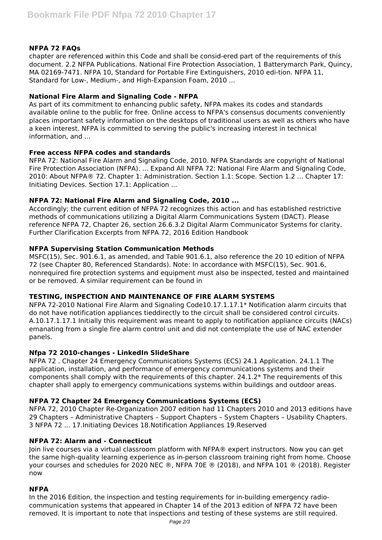# **NFPA 72 FAQs**

chapter are referenced within this Code and shall be consid-ered part of the requirements of this document. 2.2 NFPA Publications. National Fire Protection Association, 1 Batterymarch Park, Quincy, MA 02169-7471. NFPA 10, Standard for Portable Fire Extinguishers, 2010 edi-tion. NFPA 11, Standard for Low-, Medium-, and High-Expansion Foam, 2010 ...

## **National Fire Alarm and Signaling Code - NFPA**

As part of its commitment to enhancing public safety, NFPA makes its codes and standards available online to the public for free. Online access to NFPA's consensus documents conveniently places important safety information on the desktops of traditional users as well as others who have a keen interest. NFPA is committed to serving the public's increasing interest in technical information, and ...

## **Free access NFPA codes and standards**

NFPA 72: National Fire Alarm and Signaling Code, 2010. NFPA Standards are copyright of National Fire Protection Association (NFPA). ... Expand All NFPA 72: National Fire Alarm and Signaling Code, 2010: About NFPA® 72. Chapter 1: Administration. Section 1.1: Scope. Section 1.2 ... Chapter 17: Initiating Devices. Section 17.1: Application ...

# **NFPA 72: National Fire Alarm and Signaling Code, 2010 ...**

Accordingly; the current edition of NFPA 72 recognizes this action and has established restrictive methods of communications utilizing a Digital Alarm Communications System (DACT). Please reference NFPA 72, Chapter 26, section 26.6.3.2 Digital Alarm Communicator Systems for clarity. Further Clarification Excerpts from NFPA 72, 2016 Edition Handbook

## **NFPA Supervising Station Communication Methods**

MSFC(15), Sec. 901.6.1, as amended, and Table 901.6.1, also reference the 20 10 edition of NFPA 72 (see Chapter 80, Referenced Standards). Note: In accordance with MSFC(15), Sec. 901.6, nonrequired fire protection systems and equipment must also be inspected, tested and maintained or be removed. A similar requirement can be found in

## **TESTING, INSPECTION AND MAINTENANCE OF FIRE ALARM SYSTEMS**

NFPA 72-2010 National Fire Alarm and Signaling Code10.17.1.17.1\* Notification alarm circuits that do not have notification appliances tieddirectly to the circuit shall be considered control circuits. A.10.17.1.17.1 Initially this requirement was meant to apply to notification appliance circuits (NACs) emanating from a single fire alarm control unit and did not contemplate the use of NAC extender panels.

## **Nfpa 72 2010-changes - LinkedIn SlideShare**

NFPA 72 . Chapter 24 Emergency Communications Systems (ECS) 24.1 Application. 24.1.1 The application, installation, and performance of emergency communications systems and their components shall comply with the requirements of this chapter.  $24.1.2*$  The requirements of this chapter shall apply to emergency communications systems within buildings and outdoor areas.

# **NFPA 72 Chapter 24 Emergency Communications Systems (ECS)**

NFPA 72, 2010 Chapter Re‐Organization 2007 edition had 11 Chapters 2010 and 2013 editions have 29 Chapters – Administrative Chapters – Support Chapters – System Chapters – Usability Chapters. 3 NFPA 72 ... 17.Initiating Devices 18.Notification Appliances 19.Reserved

## **NFPA 72: Alarm and - Connecticut**

Join live courses via a virtual classroom platform with NFPA® expert instructors. Now you can get the same high-quality learning experience as in-person classroom training right from home. Choose your courses and schedules for 2020 NEC ®, NFPA 70E ® (2018), and NFPA 101 ® (2018). Register now

## **NFPA**

In the 2016 Edition, the inspection and testing requirements for in-building emergency radiocommunication systems that appeared in Chapter 14 of the 2013 edition of NFPA 72 have been removed. It is important to note that inspections and testing of these systems are still required.